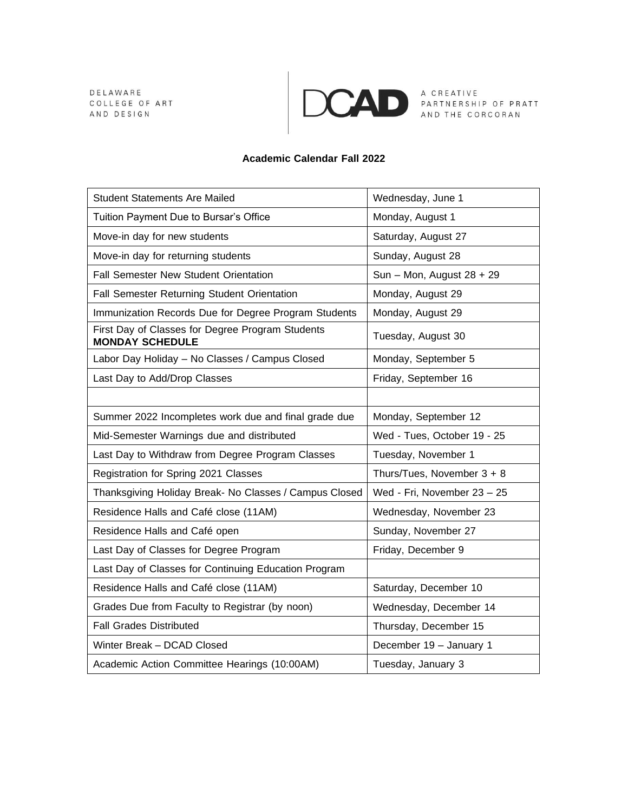DELAWARE COLLEGE OF ART AND DESIGN



A CREATIVE<br>PARTNERSHIP OF PRATT<br>AND THE CORCORAN

## **Academic Calendar Fall 2022**

| <b>Student Statements Are Mailed</b>                                       | Wednesday, June 1            |
|----------------------------------------------------------------------------|------------------------------|
| Tuition Payment Due to Bursar's Office                                     | Monday, August 1             |
| Move-in day for new students                                               | Saturday, August 27          |
| Move-in day for returning students                                         | Sunday, August 28            |
| Fall Semester New Student Orientation                                      | Sun - Mon, August 28 + 29    |
| Fall Semester Returning Student Orientation                                | Monday, August 29            |
| Immunization Records Due for Degree Program Students                       | Monday, August 29            |
| First Day of Classes for Degree Program Students<br><b>MONDAY SCHEDULE</b> | Tuesday, August 30           |
| Labor Day Holiday - No Classes / Campus Closed                             | Monday, September 5          |
| Last Day to Add/Drop Classes                                               | Friday, September 16         |
|                                                                            |                              |
| Summer 2022 Incompletes work due and final grade due                       | Monday, September 12         |
| Mid-Semester Warnings due and distributed                                  | Wed - Tues, October 19 - 25  |
| Last Day to Withdraw from Degree Program Classes                           | Tuesday, November 1          |
| Registration for Spring 2021 Classes                                       | Thurs/Tues, November $3 + 8$ |
| Thanksgiving Holiday Break- No Classes / Campus Closed                     | Wed - Fri, November 23 - 25  |
| Residence Halls and Café close (11AM)                                      | Wednesday, November 23       |
| Residence Halls and Café open                                              | Sunday, November 27          |
| Last Day of Classes for Degree Program                                     | Friday, December 9           |
| Last Day of Classes for Continuing Education Program                       |                              |
| Residence Halls and Café close (11AM)                                      | Saturday, December 10        |
| Grades Due from Faculty to Registrar (by noon)                             | Wednesday, December 14       |
| <b>Fall Grades Distributed</b>                                             | Thursday, December 15        |
| Winter Break - DCAD Closed                                                 | December 19 - January 1      |
| Academic Action Committee Hearings (10:00AM)                               | Tuesday, January 3           |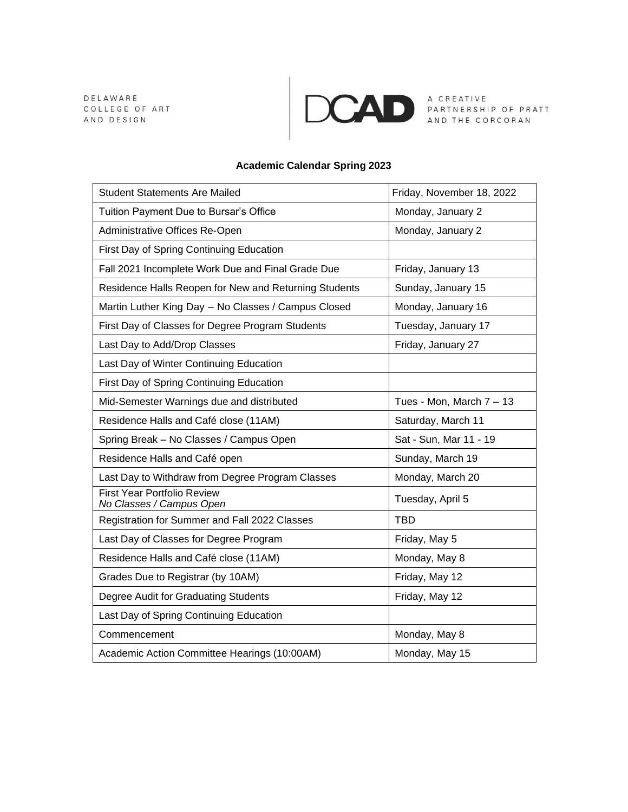DELAWARE COLLEGE OF ART AND DESIGN



A CREATIVE<br>PARTNERSHIP OF PRATT<br>AND THE CORCORAN

## **Academic Calendar Spring 2023**

| <b>Student Statements Are Mailed</b>                           | Friday, November 18, 2022  |
|----------------------------------------------------------------|----------------------------|
| Tuition Payment Due to Bursar's Office                         | Monday, January 2          |
| Administrative Offices Re-Open                                 | Monday, January 2          |
| First Day of Spring Continuing Education                       |                            |
| Fall 2021 Incomplete Work Due and Final Grade Due              | Friday, January 13         |
| Residence Halls Reopen for New and Returning Students          | Sunday, January 15         |
| Martin Luther King Day - No Classes / Campus Closed            | Monday, January 16         |
| First Day of Classes for Degree Program Students               | Tuesday, January 17        |
| Last Day to Add/Drop Classes                                   | Friday, January 27         |
| Last Day of Winter Continuing Education                        |                            |
| First Day of Spring Continuing Education                       |                            |
| Mid-Semester Warnings due and distributed                      | Tues - Mon, March $7 - 13$ |
| Residence Halls and Café close (11AM)                          | Saturday, March 11         |
| Spring Break - No Classes / Campus Open                        | Sat - Sun, Mar 11 - 19     |
| Residence Halls and Café open                                  | Sunday, March 19           |
| Last Day to Withdraw from Degree Program Classes               | Monday, March 20           |
| <b>First Year Portfolio Review</b><br>No Classes / Campus Open | Tuesday, April 5           |
| Registration for Summer and Fall 2022 Classes                  | <b>TBD</b>                 |
| Last Day of Classes for Degree Program                         | Friday, May 5              |
| Residence Halls and Café close (11AM)                          | Monday, May 8              |
| Grades Due to Registrar (by 10AM)                              | Friday, May 12             |
| Degree Audit for Graduating Students                           | Friday, May 12             |
| Last Day of Spring Continuing Education                        |                            |
| Commencement                                                   | Monday, May 8              |
| Academic Action Committee Hearings (10:00AM)                   | Monday, May 15             |